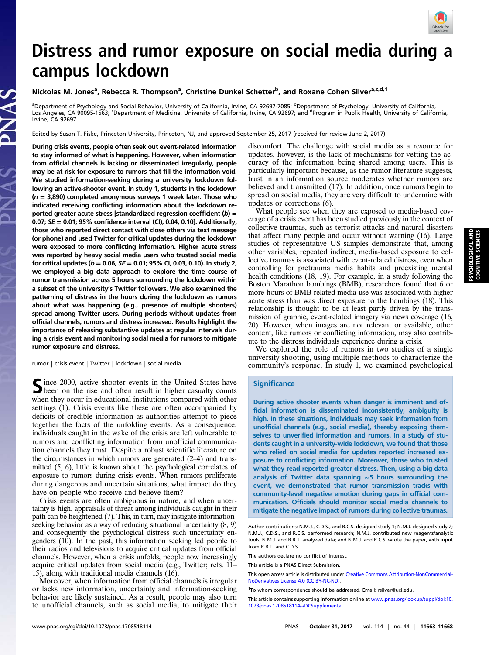

# Distress and rumor exposure on social media during a campus lockdown

## Nickolas M. Jones<sup>a</sup>, Rebecca R. Thompson<sup>a</sup>, Christine Dunkel Schetter<sup>b</sup>, and Roxane Cohen Silver<sup>a,c,d,1</sup>

<sup>a</sup>Department of Psychology and Social Behavior, University of California, Irvine, CA 92697-7085; <sup>b</sup>Department of Psychology, University of California, Los Angeles, CA 90095-1563; <sup>c</sup>Department of Medicine, University of California, Irvine, CA 92697; and <sup>d</sup>Program in Public Health, University of California, Irvine, CA 92697

Edited by Susan T. Fiske, Princeton University, Princeton, NJ, and approved September 25, 2017 (received for review June 2, 2017)

During crisis events, people often seek out event-related information to stay informed of what is happening. However, when information from official channels is lacking or disseminated irregularly, people may be at risk for exposure to rumors that fill the information void. We studied information-seeking during a university lockdown following an active-shooter event. In study 1, students in the lockdown  $(n = 3,890)$  completed anonymous surveys 1 week later. Those who indicated receiving conflicting information about the lockdown reported greater acute stress [standardized regression coefficient  $(b)$  = 0.07;  $SE = 0.01$ ; 95% confidence interval (CI), 0.04, 0.10]. Additionally, those who reported direct contact with close others via text message (or phone) and used Twitter for critical updates during the lockdown were exposed to more conflicting information. Higher acute stress was reported by heavy social media users who trusted social media for critical updates ( $b = 0.06$ ,  $SE = 0.01$ ; 95% CI, 0.03, 0.10). In study 2, we employed a big data approach to explore the time course of rumor transmission across 5 hours surrounding the lockdown within a subset of the university's Twitter followers. We also examined the patterning of distress in the hours during the lockdown as rumors about what was happening (e.g., presence of multiple shooters) spread among Twitter users. During periods without updates from official channels, rumors and distress increased. Results highlight the importance of releasing substantive updates at regular intervals during a crisis event and monitoring social media for rumors to mitigate rumor exposure and distress.

rumor | crisis event | Twitter | lockdown | social media

Since 2000, active shooter events in the United States have<br>been on the rise and often result in higher casualty counts when they occur in educational institutions compared with other settings (1). Crisis events like these are often accompanied by deficits of credible information as authorities attempt to piece together the facts of the unfolding events. As a consequence, individuals caught in the wake of the crisis are left vulnerable to rumors and conflicting information from unofficial communication channels they trust. Despite a robust scientific literature on the circumstances in which rumors are generated (2–4) and transmitted (5, 6), little is known about the psychological correlates of exposure to rumors during crisis events. When rumors proliferate during dangerous and uncertain situations, what impact do they have on people who receive and believe them?

Crisis events are often ambiguous in nature, and when uncertainty is high, appraisals of threat among individuals caught in their path can be heightened (7). This, in turn, may instigate informationseeking behavior as a way of reducing situational uncertainty  $(8, 9)$ and consequently the psychological distress such uncertainty engenders (10). In the past, this information seeking led people to their radios and televisions to acquire critical updates from official channels. However, when a crisis unfolds, people now increasingly acquire critical updates from social media (e.g., Twitter; refs. 11– 15), along with traditional media channels (16).

Moreover, when information from official channels is irregular or lacks new information, uncertainty and information-seeking behavior are likely sustained. As a result, people may also turn to unofficial channels, such as social media, to mitigate their discomfort. The challenge with social media as a resource for updates, however, is the lack of mechanisms for vetting the accuracy of the information being shared among users. This is particularly important because, as the rumor literature suggests, trust in an information source moderates whether rumors are believed and transmitted (17). In addition, once rumors begin to spread on social media, they are very difficult to undermine with updates or corrections (6).

What people see when they are exposed to media-based coverage of a crisis event has been studied previously in the context of collective traumas, such as terrorist attacks and natural disasters that affect many people and occur without warning (16). Large studies of representative US samples demonstrate that, among other variables, repeated indirect, media-based exposure to collective traumas is associated with event-related distress, even when controlling for pretrauma media habits and preexisting mental health conditions (18, 19). For example, in a study following the Boston Marathon bombings (BMB), researchers found that 6 or more hours of BMB-related media use was associated with higher acute stress than was direct exposure to the bombings (18). This relationship is thought to be at least partly driven by the transmission of graphic, event-related imagery via news coverage (16, 20). However, when images are not relevant or available, other content, like rumors or conflicting information, may also contribute to the distress individuals experience during a crisis.

We explored the role of rumors in two studies of a single university shooting, using multiple methods to characterize the community's response. In study 1, we examined psychological

#### **Significance**

During active shooter events when danger is imminent and official information is disseminated inconsistently, ambiguity is high. In these situations, individuals may seek information from unofficial channels (e.g., social media), thereby exposing themselves to unverified information and rumors. In a study of students caught in a university-wide lockdown, we found that those who relied on social media for updates reported increased exposure to conflicting information. Moreover, those who trusted what they read reported greater distress. Then, using a big-data analysis of Twitter data spanning ∼5 hours surrounding the event, we demonstrated that rumor transmission tracks with community-level negative emotion during gaps in official communication. Officials should monitor social media channels to mitigate the negative impact of rumors during collective traumas.

Author contributions: N.M.J., C.D.S., and R.C.S. designed study 1; N.M.J. designed study 2; N.M.J., C.D.S., and R.C.S. performed research; N.M.J. contributed new reagents/analytic tools; N.M.J. and R.R.T. analyzed data; and N.M.J. and R.C.S. wrote the paper, with input from R.R.T. and C.D.S.

The authors declare no conflict of interest.

This article is a PNAS Direct Submission.

This open access article is distributed under [Creative Commons Attribution-NonCommercial-](https://creativecommons.org/licenses/by-nc-nd/4.0/)[NoDerivatives License 4.0 \(CC BY-NC-ND\)](https://creativecommons.org/licenses/by-nc-nd/4.0/).

<sup>1</sup>To whom correspondence should be addressed. Email: [rsilver@uci.edu](mailto:rsilver@uci.edu).

This article contains supporting information online at [www.pnas.org/lookup/suppl/doi:10.](http://www.pnas.org/lookup/suppl/doi:10.1073/pnas.1708518114/-/DCSupplemental) [1073/pnas.1708518114/-/DCSupplemental](http://www.pnas.org/lookup/suppl/doi:10.1073/pnas.1708518114/-/DCSupplemental).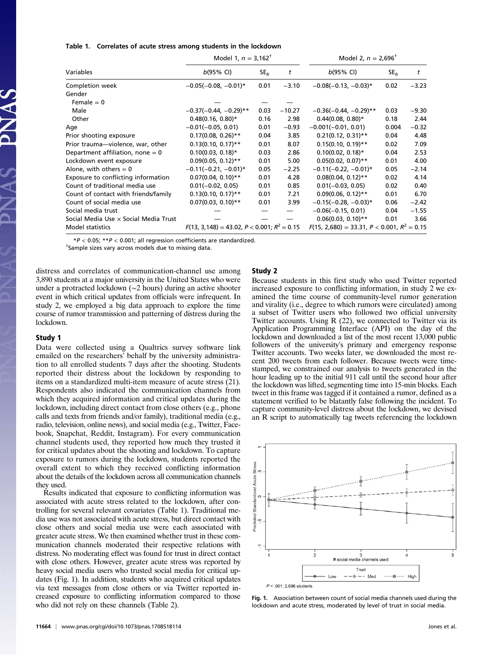|  | Table 1. Correlates of acute stress among students in the lockdown |  |  |  |  |  |
|--|--------------------------------------------------------------------|--|--|--|--|--|
|--|--------------------------------------------------------------------|--|--|--|--|--|

|                                              | Model 1, $n = 3.162^{\dagger}$                 |                 | Model 2, $n = 2.696^{\dagger}$ |                                               |                 |         |
|----------------------------------------------|------------------------------------------------|-----------------|--------------------------------|-----------------------------------------------|-----------------|---------|
| Variables                                    | $b(95% \text{ Cl})$                            | SE <sub>b</sub> | t                              | $b(95% \text{ Cl})$                           | SE <sub>b</sub> | t       |
| Completion week                              | $-0.05(-0.08, -0.01)$ *                        | 0.01            | $-3.10$                        | $-0.08(-0.13, -0.03)*$                        | 0.02            | $-3.23$ |
| Gender                                       |                                                |                 |                                |                                               |                 |         |
| Female $= 0$                                 |                                                |                 |                                |                                               |                 |         |
| Male                                         | $-0.37(-0.44, -0.29)$ **                       | 0.03            | $-10.27$                       | $-0.36(-0.44, -0.29)$ **                      | 0.03            | $-9.30$ |
| Other                                        | $0.48(0.16, 0.80)$ *                           | 0.16            | 2.98                           | $0.44(0.08, 0.80)$ *                          | 0.18            | 2.44    |
| Age                                          | $-0.01(-0.05, 0.01)$                           | 0.01            | $-0.93$                        | $-0.001(-0.01, 0.01)$                         | 0.004           | $-0.32$ |
| Prior shooting exposure                      | $0.17(0.08, 0.26)$ **                          | 0.04            | 3.85                           | $0.21(0.12, 0.31)$ **                         | 0.04            | 4.48    |
| Prior trauma-violence, war, other            | $0.13(0.10, 0.17)$ **                          | 0.01            | 8.07                           | $0.15(0.10, 0.19)$ **                         | 0.02            | 7.09    |
| Department affiliation, none $= 0$           | $0.10(0.03, 0.18)$ *                           | 0.03            | 2.86                           | $0.10(0.02, 0.18)$ *                          | 0.04            | 2.53    |
| Lockdown event exposure                      | $0.09(0.05, 0.12)$ **                          | 0.01            | 5.00                           | $0.05(0.02, 0.07)$ **                         | 0.01            | 4.00    |
| Alone, with others $= 0$                     | $-0.11(-0.21, -0.01)*$                         | 0.05            | $-2.25$                        | $-0.11(-0.22, -0.01)*$                        | 0.05            | $-2.14$ |
| Exposure to conflicting information          | $0.07(0.04, 0.10)$ **                          | 0.01            | 4.28                           | $0.08(0.04, 0.12)$ **                         | 0.02            | 4.14    |
| Count of traditional media use               | $0.01(-0.02, 0.05)$                            | 0.01            | 0.85                           | $0.01(-0.03, 0.05)$                           | 0.02            | 0.40    |
| Count of contact with friends/family         | $0.13(0.10, 0.17)$ **                          | 0.01            | 7.21                           | $0.09(0.06, 0.12)$ **                         | 0.01            | 6.70    |
| Count of social media use                    | $0.07(0.03, 0.10)$ **                          | 0.01            | 3.99                           | $-0.15(-0.28, -0.03)*$                        | 0.06            | $-2.42$ |
| Social media trust                           |                                                |                 |                                | $-0.06(-0.15, 0.01)$                          | 0.04            | $-1.55$ |
| Social Media Use $\times$ Social Media Trust |                                                |                 |                                | $0.06(0.03, 0.10)$ **                         | 0.01            | 3.66    |
| <b>Model statistics</b>                      | $F(13, 3, 148) = 43.02, P < 0.001; R^2 = 0.15$ |                 |                                | $F(15, 2,680) = 33.31, P < 0.001, R^2 = 0.15$ |                 |         |

 $*P < 0.05$ ;  $**P < 0.001$ ; all regression coefficients are standardized.

<sup>+</sup>Sample sizes vary across models due to missing data.

distress and correlates of communication-channel use among 3,890 students at a major university in the United States who were under a protracted lockdown (∼2 hours) during an active shooter event in which critical updates from officials were infrequent. In study 2, we employed a big data approach to explore the time course of rumor transmission and patterning of distress during the lockdown.

#### Study 1

Data were collected using a Qualtrics survey software link emailed on the researchers' behalf by the university administration to all enrolled students 7 days after the shooting. Students reported their distress about the lockdown by responding to items on a standardized multi-item measure of acute stress (21). Respondents also indicated the communication channels from which they acquired information and critical updates during the lockdown, including direct contact from close others (e.g., phone calls and texts from friends and/or family), traditional media (e.g., radio, television, online news), and social media (e.g., Twitter, Facebook, Snapchat, Reddit, Instagram). For every communication channel students used, they reported how much they trusted it for critical updates about the shooting and lockdown. To capture exposure to rumors during the lockdown, students reported the overall extent to which they received conflicting information about the details of the lockdown across all communication channels they used.

Results indicated that exposure to conflicting information was associated with acute stress related to the lockdown, after controlling for several relevant covariates (Table 1). Traditional media use was not associated with acute stress, but direct contact with close others and social media use were each associated with greater acute stress. We then examined whether trust in these communication channels moderated their respective relations with distress. No moderating effect was found for trust in direct contact with close others. However, greater acute stress was reported by heavy social media users who trusted social media for critical updates (Fig. 1). In addition, students who acquired critical updates via text messages from close others or via Twitter reported increased exposure to conflicting information compared to those who did not rely on these channels (Table 2).

#### Study 2

Because students in this first study who used Twitter reported increased exposure to conflicting information, in study 2 we examined the time course of community-level rumor generation and virality (i.e., degree to which rumors were circulated) among a subset of Twitter users who followed two official university Twitter accounts. Using R (22), we connected to Twitter via its Application Programming Interface (API) on the day of the lockdown and downloaded a list of the most recent 13,000 public followers of the university's primary and emergency response Twitter accounts. Two weeks later, we downloaded the most recent 200 tweets from each follower. Because tweets were timestamped, we constrained our analysis to tweets generated in the hour leading up to the initial 911 call until the second hour after the lockdown was lifted, segmenting time into 15-min blocks. Each tweet in this frame was tagged if it contained a rumor, defined as a statement verified to be blatantly false following the incident. To capture community-level distress about the lockdown, we devised an R script to automatically tag tweets referencing the lockdown



Fig. 1. Association between count of social media channels used during the lockdown and acute stress, moderated by level of trust in social media.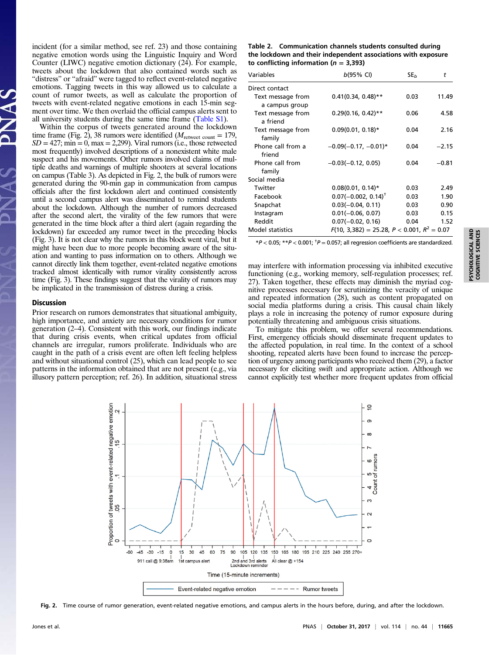incident (for a similar method, see ref. 23) and those containing negative emotion words using the Linguistic Inquiry and Word Counter (LIWC) negative emotion dictionary (24). For example, tweets about the lockdown that also contained words such as "distress" or "afraid" were tagged to reflect event-related negative emotions. Tagging tweets in this way allowed us to calculate a count of rumor tweets, as well as calculate the proportion of tweets with event-related negative emotions in each 15-min segment over time. We then overlaid the official campus alerts sent to all university students during the same time frame [\(Table S1\)](http://www.pnas.org/lookup/suppl/doi:10.1073/pnas.1708518114/-/DCSupplemental/pnas.201708518SI.pdf?targetid=nameddest=ST1).

Within the corpus of tweets generated around the lockdown time frame (Fig. 2), 38 rumors were identified ( $M_{\text{reduced count}} = 179$ ,  $SD = 427$ ; min = 0, max = 2,299). Viral rumors (i.e., those retweeted most frequently) involved descriptions of a nonexistent white male suspect and his movements. Other rumors involved claims of multiple deaths and warnings of multiple shooters at several locations on campus (Table 3). As depicted in Fig. 2, the bulk of rumors were generated during the 90-min gap in communication from campus officials after the first lockdown alert and continued consistently until a second campus alert was disseminated to remind students about the lockdown. Although the number of rumors decreased after the second alert, the virality of the few rumors that were generated in the time block after a third alert (again regarding the lockdown) far exceeded any rumor tweet in the preceding blocks (Fig. 3). It is not clear why the rumors in this block went viral, but it might have been due to more people becoming aware of the situation and wanting to pass information on to others. Although we cannot directly link them together, event-related negative emotions tracked almost identically with rumor virality consistently across time (Fig. 3). These findings suggest that the virality of rumors may be implicated in the transmission of distress during a crisis.

#### Discussion

Prior research on rumors demonstrates that situational ambiguity, high importance, and anxiety are necessary conditions for rumor generation (2–4). Consistent with this work, our findings indicate that during crisis events, when critical updates from official channels are irregular, rumors proliferate. Individuals who are caught in the path of a crisis event are often left feeling helpless and without situational control (25), which can lead people to see patterns in the information obtained that are not present (e.g., via illusory pattern perception; ref. 26). In addition, situational stress

|  | Table 2. Communication channels students consulted during     |  |  |
|--|---------------------------------------------------------------|--|--|
|  | the lockdown and their independent associations with exposure |  |  |
|  | to conflicting information ( $n = 3,393$ )                    |  |  |

| Variables                           | $b(95% \text{ Cl})$                          | SE <sub>b</sub> | t       |
|-------------------------------------|----------------------------------------------|-----------------|---------|
| Direct contact                      |                                              |                 |         |
| Text message from<br>a campus group | $0.41(0.34, 0.48)$ **                        | 0.03            | 11.49   |
| Text message from<br>a friend       | $0.29(0.16, 0.42)$ **                        | 0.06            | 4.58    |
| Text message from<br>family         | $0.09(0.01, 0.18)$ *                         | 0.04            | 2.16    |
| Phone call from a<br>friend         | $-0.09(-0.17, -0.01)*$                       | 0.04            | $-2.15$ |
| Phone call from<br>family           | $-0.03(-0.12, 0.05)$                         | 0.04            | $-0.81$ |
| Social media                        |                                              |                 |         |
| Twitter                             | $0.08(0.01, 0.14)$ *                         | 0.03            | 2.49    |
| Facebook                            | $0.07(-0.002, 0.14)^{\dagger}$               | 0.03            | 1.90    |
| Snapchat                            | $0.03(-0.04, 0.11)$                          | 0.03            | 0.90    |
| Instagram                           | $0.01(-0.06, 0.07)$                          | 0.03            | 0.15    |
| Reddit                              | $0.07(-0.02, 0.16)$                          | 0.04            | 1.52    |
| <b>Model statistics</b>             | $F(10, 3,382) = 25.28, P < 0.001, R2 = 0.07$ |                 |         |

 $*P < 0.05$ ;  $*P < 0.001$ ;  $^{\dagger}P = 0.057$ ; all regression coefficients are standardized.

may interfere with information processing via inhibited executive functioning (e.g., working memory, self-regulation processes; ref. 27). Taken together, these effects may diminish the myriad cognitive processes necessary for scrutinizing the veracity of unique and repeated information (28), such as content propagated on social media platforms during a crisis. This causal chain likely plays a role in increasing the potency of rumor exposure during potentially threatening and ambiguous crisis situations.

To mitigate this problem, we offer several recommendations. First, emergency officials should disseminate frequent updates to the affected population, in real time. In the context of a school shooting, repeated alerts have been found to increase the perception of urgency among participants who received them (29), a factor necessary for eliciting swift and appropriate action. Although we cannot explicitly test whether more frequent updates from official



Fig. 2. Time course of rumor generation, event-related negative emotions, and campus alerts in the hours before, during, and after the lockdown.

COGNITIVE SCIENCES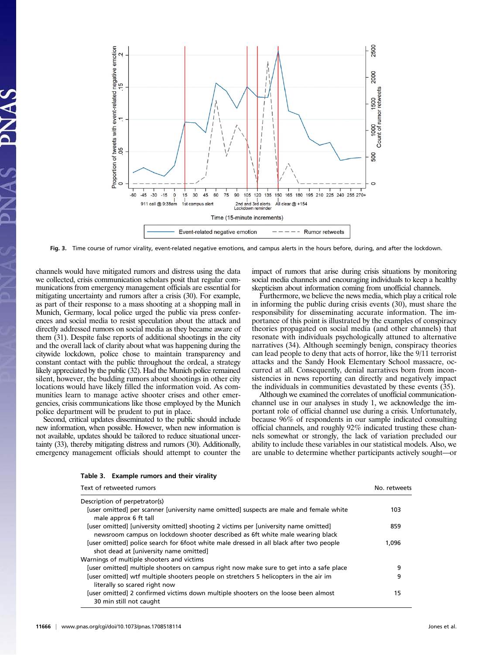

Fig. 3. Time course of rumor virality, event-related negative emotions, and campus alerts in the hours before, during, and after the lockdown.

channels would have mitigated rumors and distress using the data we collected, crisis communication scholars posit that regular communications from emergency management officials are essential for mitigating uncertainty and rumors after a crisis (30). For example, as part of their response to a mass shooting at a shopping mall in Munich, Germany, local police urged the public via press conferences and social media to resist speculation about the attack and directly addressed rumors on social media as they became aware of them (31). Despite false reports of additional shootings in the city and the overall lack of clarity about what was happening during the citywide lockdown, police chose to maintain transparency and constant contact with the public throughout the ordeal, a strategy likely appreciated by the public (32). Had the Munich police remained silent, however, the budding rumors about shootings in other city locations would have likely filled the information void. As communities learn to manage active shooter crises and other emergencies, crisis communications like those employed by the Munich police department will be prudent to put in place.

Second, critical updates disseminated to the public should include new information, when possible. However, when new information is not available, updates should be tailored to reduce situational uncertainty (33), thereby mitigating distress and rumors (30). Additionally, emergency management officials should attempt to counter the impact of rumors that arise during crisis situations by monitoring social media channels and encouraging individuals to keep a healthy skepticism about information coming from unofficial channels.

Furthermore, we believe the news media, which play a critical role in informing the public during crisis events (30), must share the responsibility for disseminating accurate information. The importance of this point is illustrated by the examples of conspiracy theories propagated on social media (and other channels) that resonate with individuals psychologically attuned to alternative narratives (34). Although seemingly benign, conspiracy theories can lead people to deny that acts of horror, like the 9/11 terrorist attacks and the Sandy Hook Elementary School massacre, occurred at all. Consequently, denial narratives born from inconsistencies in news reporting can directly and negatively impact the individuals in communities devastated by these events (35).

Although we examined the correlates of unofficial communicationchannel use in our analyses in study 1, we acknowledge the important role of official channel use during a crisis. Unfortunately, because 96% of respondents in our sample indicated consulting official channels, and roughly 92% indicated trusting these channels somewhat or strongly, the lack of variation precluded our ability to include these variables in our statistical models. Also, we are unable to determine whether participants actively sought—or

| Text of retweeted rumors                                                                                                                                              | No. retweets |
|-----------------------------------------------------------------------------------------------------------------------------------------------------------------------|--------------|
| Description of perpetrator(s)                                                                                                                                         |              |
| [user omitted] per scanner [university name omitted] suspects are male and female white<br>male approx 6 ft tall                                                      | 103          |
| [user omitted] [university omitted] shooting 2 victims per [university name omitted]<br>newsroom campus on lockdown shooter described as 6ft white male wearing black | 859          |
| [user omitted] police search for 6foot white male dressed in all black after two people<br>shot dead at [university name omitted]                                     | 1.096        |
| Warnings of multiple shooters and victims                                                                                                                             |              |
| [user omitted] multiple shooters on campus right now make sure to get into a safe place                                                                               | 9            |
| [user omitted] wtf multiple shooters people on stretchers 5 helicopters in the air im<br>literally so scared right now                                                | 9            |
| [user omitted] 2 confirmed victims down multiple shooters on the loose been almost<br>30 min still not caught                                                         | 15           |

#### Table 3. Example rumors and their virality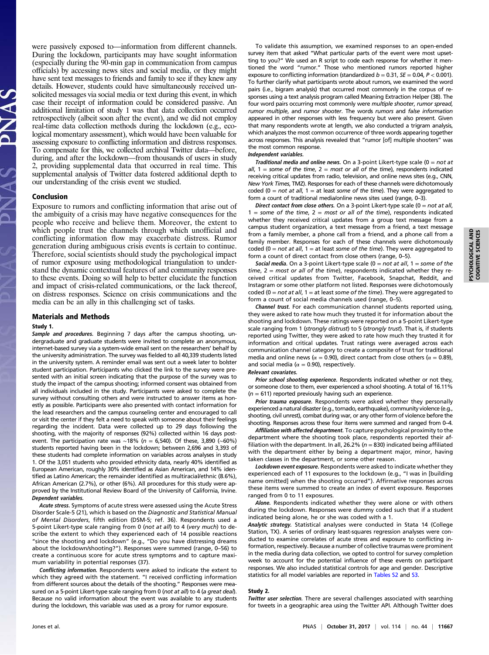were passively exposed to—information from different channels. During the lockdown, participants may have sought information (especially during the 90-min gap in communication from campus officials) by accessing news sites and social media, or they might have sent text messages to friends and family to see if they knew any details. However, students could have simultaneously received unsolicited messages via social media or text during this event, in which case their receipt of information could be considered passive. An additional limitation of study 1 was that data collection occurred retrospectively (albeit soon after the event), and we did not employ real-time data collection methods during the lockdown (e.g., ecological momentary assessment), which would have been valuable for assessing exposure to conflicting information and distress responses. To compensate for this, we collected archival Twitter data—before, during, and after the lockdown—from thousands of users in study 2, providing supplemental data that occurred in real time. This supplemental analysis of Twitter data fostered additional depth to our understanding of the crisis event we studied.

#### Conclusion

Exposure to rumors and conflicting information that arise out of the ambiguity of a crisis may have negative consequences for the people who receive and believe them. Moreover, the extent to which people trust the channels through which unofficial and conflicting information flow may exacerbate distress. Rumor generation during ambiguous crisis events is certain to continue. Therefore, social scientists should study the psychological impact of rumor exposure using methodological triangulation to understand the dynamic contextual features of and community responses to these events. Doing so will help to better elucidate the function and impact of crisis-related communications, or the lack thereof, on distress responses. Science on crisis communications and the media can be an ally in this challenging set of tasks.

#### Materials and Methods

#### Study 1.

Sample and procedures. Beginning 7 days after the campus shooting, undergraduate and graduate students were invited to complete an anonymous, internet-based survey via a system-wide email sent on the researchers' behalf by the university administration. The survey was fielded to all 40,339 students listed in the university system. A reminder email was sent out a week later to bolster student participation. Participants who clicked the link to the survey were presented with an initial screen indicating that the purpose of the survey was to study the impact of the campus shooting; informed consent was obtained from all individuals included in the study. Participants were asked to complete the survey without consulting others and were instructed to answer items as honestly as possible. Participants were also presented with contact information for the lead researchers and the campus counseling center and encouraged to call or visit the center if they felt a need to speak with someone about their feelings regarding the incident. Data were collected up to 29 days following the shooting, with the majority of responses (92%) collected within 16 days postevent. The participation rate was ~18% (n = 6,540). Of these, 3,890 (~60%) students reported having been in the lockdown; between 2,696 and 3,393 of these students had complete information on variables across analyses in study 1. Of the 3,051 students who provided ethnicity data, nearly 40% identified as European American, roughly 30% identified as Asian American, and 14% identified as Latino American; the remainder identified as multiracial/ethnic (8.6%), African American (2.7%), or other (6%). All procedures for this study were approved by the Institutional Review Board of the University of California, Irvine. Dependent variables.

Acute stress. Symptoms of acute stress were assessed using the Acute Stress Disorder Scale-5 (21), which is based on the Diagnostic and Statistical Manual of Mental Disorders, fifth edition (DSM-5; ref. 36). Respondents used a 5-point Likert-type scale ranging from 0 (not at all) to 4 (very much) to describe the extent to which they experienced each of 14 possible reactions "since the shooting and lockdown" (e.g., "Do you have distressing dreams about the lockdown/shooting?"). Responses were summed (range, 0–56) to create a continuous score for acute stress symptoms and to capture maximum variability in potential responses (37).

Conflicting information. Respondents were asked to indicate the extent to which they agreed with the statement. "I received conflicting information from different sources about the details of the shooting." Responses were measured on a 5-point Likert-type scale ranging from 0 (not at all) to 4 (a great deal). Because no valid information about the event was available to any students during the lockdown, this variable was used as a proxy for rumor exposure.

To validate this assumption, we examined responses to an open-ended survey item that asked "What particular parts of the event were most upsetting to you?" We used an R script to code each response for whether it mentioned the word "rumor." Those who mentioned rumors reported higher exposure to conflicting information (standardized  $b = 0.31$ ,  $SE = 0.04$ ,  $P < 0.001$ ). To further clarify what participants wrote about rumors, we examined the word pairs (i.e., bigram analysis) that occurred most commonly in the corpus of responses using a text analysis program called Meaning Extraction Helper (38). The four word pairs occurring most commonly were multiple shooter, rumor spread, rumor multiple, and rumor shooter. The words rumors and false information appeared in other responses with less frequency but were also present. Given that many respondents wrote at length, we also conducted a trigram analysis, which analyzes the most common occurrence of three words appearing together across responses. This analysis revealed that "rumor [of] multiple shooters" was the most common response.

#### Independent variables.

Traditional media and online news. On a 3-point Likert-type scale ( $0 = not$  at all,  $1 =$  some of the time,  $2 =$  most or all of the time), respondents indicated receiving critical updates from radio, television, and online news sites (e.g., CNN, New York Times, TMZ). Responses for each of these channels were dichotomously coded ( $0 = not at all$ ,  $1 = at least some of the time$ ). They were aggregated to form a count of traditional media/online news sites used (range, 0–3).

Direct contact from close others. On a 3-point Likert-type scale  $(0 = not at all,$ 1 = some of the time,  $2 =$  most or all of the time), respondents indicated whether they received critical updates from a group text message from a campus student organization, a text message from a friend, a text message from a family member, a phone call from a friend, and a phone call from a family member. Responses for each of these channels were dichotomously coded (0 = not at all, 1 = at least some of the time). They were aggregated to form a count of direct contact from close others (range, 0–5).

Social media. On a 3-point Likert-type scale  $(0 = not at all, 1 = some of the)$ time,  $2 = most$  or all of the time), respondents indicated whether they received critical updates from Twitter, Facebook, Snapchat, Reddit, and Instagram or some other platform not listed. Responses were dichotomously coded (0 = not at all, 1 = at least some of the time). They were aggregated to form a count of social media channels used (range, 0–5).

Channel trust. For each communication channel students reported using, they were asked to rate how much they trusted it for information about the shooting and lockdown. These ratings were reported on a 5-point Likert-type scale ranging from 1 (strongly distrust) to 5 (strongly trust). That is, if students reported using Twitter, they were asked to rate how much they trusted it for information and critical updates. Trust ratings were averaged across each communication channel category to create a composite of trust for traditional media and online news ( $\alpha = 0.90$ ), direct contact from close others ( $\alpha = 0.89$ ), and social media ( $\alpha = 0.90$ ), respectively.

#### Relevant covariates.

Prior school shooting experience. Respondents indicated whether or not they, or someone close to them, ever experienced a school shooting. A total of 16.11%  $(n = 611)$  reported previously having such an experience.

Prior trauma exposure. Respondents were asked whether they personally experienced a natural disaster (e.g., tornado, earthquake), community violence (e.g., shooting, civil unrest), combat during war, or any other form of violence before the shooting. Responses across these four items were summed and ranged from 0–4.

Affiliation with affected department. To capture psychological proximity to the department where the shooting took place, respondents reported their affiliation with the department. In all, 26.2% ( $n = 830$ ) indicated being affiliated with the department either by being a department major, minor, having taken classes in the department, or some other reason.

Lockdown event exposure. Respondents were asked to indicate whether they experienced each of 11 exposures to the lockdown (e.g., "I was in [building name omitted] when the shooting occurred"). Affirmative responses across these items were summed to create an index of event exposure. Responses ranged from 0 to 11 exposures.

Alone. Respondents indicated whether they were alone or with others during the lockdown. Responses were dummy coded such that if a student indicated being alone, he or she was coded with a 1.

Analytic strategy. Statistical analyses were conducted in Stata 14 (College Station, TX). A series of ordinary least-squares regression analyses were conducted to examine correlates of acute stress and exposure to conflicting information, respectively. Because a number of collective traumas were prominent in the media during data collection, we opted to control for survey completion week to account for the potential influence of these events on participant responses. We also included statistical controls for age and gender. Descriptive statistics for all model variables are reported in [Tables S2](http://www.pnas.org/lookup/suppl/doi:10.1073/pnas.1708518114/-/DCSupplemental/pnas.201708518SI.pdf?targetid=nameddest=ST2) and [S3.](http://www.pnas.org/lookup/suppl/doi:10.1073/pnas.1708518114/-/DCSupplemental/pnas.201708518SI.pdf?targetid=nameddest=ST3)

### Study 2.

Twitter user selection. There are several challenges associated with searching for tweets in a geographic area using the Twitter API. Although Twitter does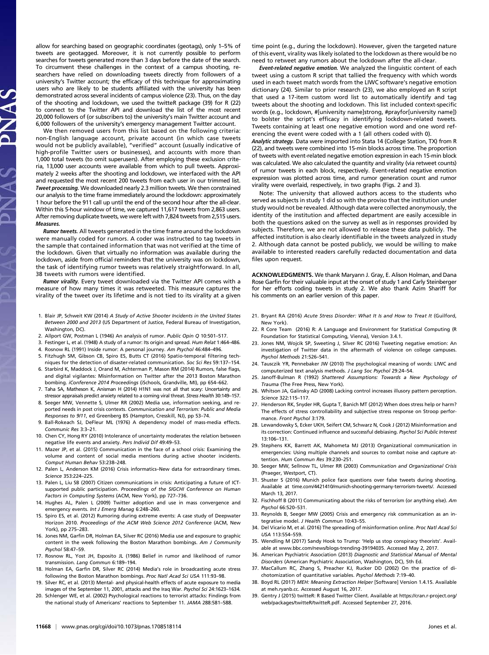allow for searching based on geographic coordinates (geotags), only 1–5% of tweets are geotagged. Moreover, it is not currently possible to perform searches for tweets generated more than 3 days before the date of the search. To circumvent these challenges in the context of a campus shooting, researchers have relied on downloading tweets directly from followers of a university's Twitter account; the efficacy of this technique for approximating users who are likely to be students affiliated with the university has been demonstrated across several incidents of campus violence (23). Thus, on the day of the shooting and lockdown, we used the twitteR package (39) for R (22) to connect to the Twitter API and download the list of the most recent 20,000 followers of (or subscribers to) the university's main Twitter account and 6,000 followers of the university's emergency management Twitter account.

We then removed users from this list based on the following criteria: non-English language account, private account (in which case tweets would not be publicly available), "verified" account (usually indicative of high-profile Twitter users or businesses), and accounts with more than 1,000 total tweets (to omit superusers). After employing these exclusion criteria, 13,000 user accounts were available from which to pull tweets. Approximately 2 weeks after the shooting and lockdown, we interfaced with the API and requested the most recent 200 tweets from each user in our trimmed list. Tweet processing. We downloaded nearly 2.3 million tweets. We then constrained our analysis to the time frame immediately around the lockdown: approximately 1 hour before the 911 call up until the end of the second hour after the all-clear. Within this 5-hour window of time, we captured 11,617 tweets from 2,863 users. After removing duplicate tweets, we were left with 7,824 tweets from 2,515 users. Measures.

Rumor tweets. All tweets generated in the time frame around the lockdown were manually coded for rumors. A coder was instructed to tag tweets in the sample that contained information that was not verified at the time of the lockdown. Given that virtually no information was available during the lockdown, aside from official reminders that the university was on lockdown, the task of identifying rumor tweets was relatively straightforward. In all, 38 tweets with rumors were identified.

Rumor virality. Every tweet downloaded via the Twitter API comes with a measure of how many times it was retweeted. This measure captures the virality of the tweet over its lifetime and is not tied to its virality at a given

- 1. Blair JP, Schweit KW (2014) A Study of Active Shooter Incidents in the United States Between 2000 and 2013 (US Department of Justice, Federal Bureau of Investigation, Washington, DC).
- 2. Allport GW, Postman L (1946) An analysis of rumor. Public Opin Q 10:501–517.
- 3. Festinger L, et al. (1948) A study of a rumor: Its origin and spread. Hum Relat 1:464–486.
- 4. Rosnow RL (1991) Inside rumor: A personal journey. Am Psychol 46:484–496.
- 5. Fitzhugh SM, Gibson CB, Spiro ES, Butts CT (2016) Spatio-temporal filtering techniques for the detection of disaster-related communication. Soc Sci Res 59:137–154.
- 6. Starbird K, Maddock J, Orand M, Achterman P, Mason RM (2014) Rumors, false flags, and digital vigilantes: Misinformation on Twitter after the 2013 Boston Marathon bombing. iConference 2014 Proceedings (iSchools, Grandville, MI), pp 654–662.
- 7. Taha SA, Matheson K, Anisman H (2014) H1N1 was not all that scary: Uncertainty and stressor appraisals predict anxiety related to a coming viral threat. Stress Health 30:149–157.
- 8. Seeger MW, Vennette S, Ulmer RR (2002) Media use, information seeking, and reported needs in post crisis contexts. Communication and Terrorism: Public and Media
- Responses to 9/11, ed Greenberg BS (Hampton, Cresskill, NJ), pp 53–74. 9. Ball-Rokeach SJ, DeFleur ML (1976) A dependency model of mass-media effects.
- Communic Res 3:3–21.
- 10. Chen CY, Hong RY (2010) Intolerance of uncertainty moderates the relation between negative life events and anxiety. Pers Individ Dif 49:49-53.
- 11. Mazer JP, et al. (2015) Communication in the face of a school crisis: Examining the volume and content of social media mentions during active shooter incidents. Comput Human Behav 53:238–248.
- 12. Palen L, Anderson KM (2016) Crisis informatics–New data for extraordinary times. Science 353:224–225.
- 13. Palen L, Liu SB (2007) Citizen communications in crisis: Anticipating a future of ICTsupported public participation. Proceedings of the SIGCHI Conference on Human Factors in Computing Systems (ACM, New York), pp 727–736.
- 14. Hughes AL, Palen L (2009) Twitter adoption and use in mass convergence and emergency events. Int J Emerg Manag 6:248–260.
- 15. Spiro ES, et al. (2012) Rumoring during extreme events: A case study of Deepwater Horizon 2010. Proceedings of the ACM Web Science 2012 Conference (ACM, New York), pp 275–283.
- 16. Jones NM, Garfin DR, Holman EA, Silver RC (2016) Media use and exposure to graphic content in the week following the Boston Marathon bombings. Am J Community Psychol 58:47–59.
- 17. Rosnow RL, Yost JH, Esposito JL (1986) Belief in rumor and likelihood of rumor transmission. Lang Commun 6:189–194.
- 18. Holman EA, Garfin DR, Silver RC (2014) Media's role in broadcasting acute stress following the Boston Marathon bombings. Proc Natl Acad Sci USA 111:93-98.
- 19. Silver RC, et al. (2013) Mental- and physical-health effects of acute exposure to media images of the September 11, 2001, attacks and the Iraq War. Psychol Sci 24:1623-1634.
- 20. Schlenger WE, et al. (2002) Psychological reactions to terrorist attacks: Findings from the national study of Americans' reactions to September 11. JAMA 288:581–588.

time point (e.g., during the lockdown). However, given the targeted nature of this event, virality was likely isolated to the lockdown as there would be no need to retweet any rumors about the lockdown after the all-clear.

Event-related negative emotion. We analyzed the linguistic content of each tweet using a custom R script that tallied the frequency with which words used in each tweet match words from the LIWC software's negative emotion dictionary (24). Similar to prior research (23), we also employed an R script that used a 17-item custom word list to automatically identify and tag tweets about the shooting and lockdown. This list included context-specific words (e.g., lockdown, #[university name]strong, #prayfor[university name]) to bolster the script's efficacy in identifying lockdown-related tweets. Tweets containing at least one negative emotion word and one word referencing the event were coded with a 1 (all others coded with 0).

Analytic strategy. Data were imported into Stata 14 (College Station, TX) from R (22), and tweets were combined into 15-min blocks across time. The proportion of tweets with event-related negative emotion expression in each 15-min block was calculated. We also calculated the quantity and virality (via retweet counts) of rumor tweets in each block, respectively. Event-related negative emotion expression was plotted across time, and rumor generation count and rumor virality were overlaid, respectively, in two graphs (Figs. 2 and 3).

Note: The university that allowed authors access to the students who served as subjects in study 1 did so with the proviso that the institution under study would not be revealed. Although data were collected anonymously, the identity of the institution and affected department are easily accessible in both the questions asked on the survey as well as in responses provided by subjects. Therefore, we are not allowed to release these data publicly. The affected institution is also clearly identifiable in the tweets analyzed in study 2. Although data cannot be posted publicly, we would be willing to make available to interested readers carefully redacted documentation and data files upon request.

ACKNOWLEDGMENTS. We thank Maryann J. Gray, E. Alison Holman, and Dana Rose Garfin for their valuable input at the onset of study 1 and Carly Steinberger for her efforts coding tweets in study 2. We also thank Azim Shariff for his comments on an earlier version of this paper.

- 21. Bryant RA (2016) Acute Stress Disorder: What It Is and How to Treat It (Guilford, New York).
- 22. R Core Team (2016) R: A Language and Environment for Statistical Computing (R Foundation for Statistical Computing, Vienna), Version 3.4.1.
- 23. Jones NM, Wojcik SP, Sweeting J, Silver RC (2016) Tweeting negative emotion: An investigation of Twitter data in the aftermath of violence on college campuses. Psychol Methods 21:526–541.
- 24. Tausczik YR, Pennebaker JW (2010) The psychological meaning of words: LIWC and computerized text analysis methods. J Lang Soc Psychol 29:24–54.
- 25. Janoff-Bulman R (1992) Shattered Assumptions: Towards a New Psychology of Trauma (The Free Press, New York).
- 26. Whitson JA, Galinsky AD (2008) Lacking control increases illusory pattern perception. Science 322:115–117.
- 27. Henderson RK, Snyder HR, Gupta T, Banich MT (2012) When does stress help or harm? The effects of stress controllability and subjective stress response on Stroop performance. Front Psychol 3:179.
- 28. Lewandowsky S, Ecker UKH, Seifert CM, Schwarz N, Cook J (2012) Misinformation and its correction: Continued influence and successful debiasing. Psychol Sci Public Interest 13:106–131.
- 29. Stephens KK, Barrett AK, Mahometa MJ (2013) Organizational communication in emergencies: Using multiple channels and sources to combat noise and capture attention. Hum Commun Res 39:230–251.
- 30. Seeger MW, Sellnow TL, Ulmer RR (2003) Communication and Organizational Crisis (Praeger, Westport, CT).
- 31. Shuster S (2016) Munich police face questions over false tweets during shooting. Available at [time.com/4421410/munich-shooting-germany-terrorism-tweets/](http://time.com/4421410/munich-shooting-germany-terrorism-tweets/). Accessed March 13, 2017.
- 32. Fischhoff B (2011) Communicating about the risks of terrorism (or anything else). Am Psychol 66:520–531.
- 33. Reynolds B, Seeger MW (2005) Crisis and emergency risk communication as an integrative model. J Health Commun 10:43–55.
- 34. Del Vicario M, et al. (2016) The spreading of misinformation online. Proc Natl Acad Sci USA 113:554–559.
- 35. Wendling M (2017) Sandy Hook to Trump: 'Help us stop conspiracy theorists'. Available at [www.bbc.com/news/blogs-trending-39194035](http://www.bbc.com/news/blogs-trending-39194035). Accessed May 2, 2017.
- 36. American Psychiatric Association (2013) Diagnostic and Statistical Manual of Mental Disorders (American Psychiatric Association, Washington, DC), 5th Ed.
- 37. MacCallum RC, Zhang S, Preacher KJ, Rucker DD (2002) On the practice of dichotomization of quantitative variables. Psychol Methods 7:19–40.
- 38. Boyd RL (2017) MEH: Meaning Extraction Helper [Software] Version 1.4.15. Available at [meh.ryanb.cc.](http://meh.ryanb.cc) Accessed August 16, 2017.
- 39. Gentry J (2015) twitteR: R Based Twitter Client. Available at [https://cran.r-project.org/](https://cran.r-project.org/web/packages/twitteR/twitteR.pdf) [web/packages/twitteR/twitteR.pdf](https://cran.r-project.org/web/packages/twitteR/twitteR.pdf). Accessed September 27, 2016.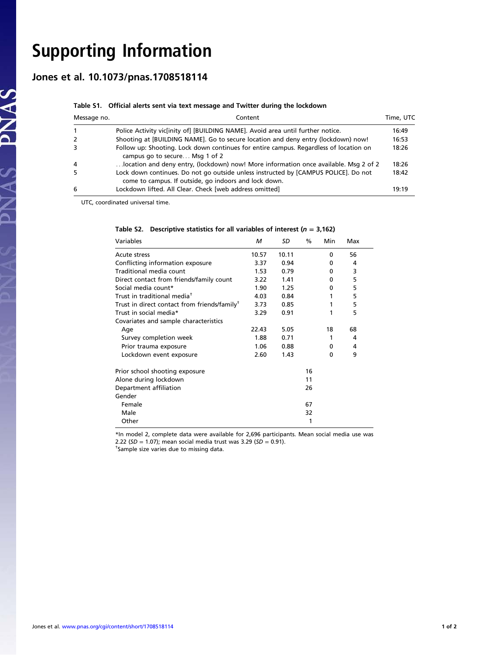# Supporting Information

# Jones et al. 10.1073/pnas.1708518114

### Table S1. Official alerts sent via text message and Twitter during the lockdown

| Message no. | Content                                                                                                                                      | Time, UTC |
|-------------|----------------------------------------------------------------------------------------------------------------------------------------------|-----------|
| 1           | Police Activity vic[inity of] [BUILDING NAME]. Avoid area until further notice.                                                              | 16:49     |
| 2           | Shooting at [BUILDING NAME]. Go to secure location and deny entry (lockdown) now!                                                            | 16:53     |
| 3           | Follow up: Shooting. Lock down continues for entire campus. Regardless of location on<br>campus go to secure Msg 1 of 2                      | 18:26     |
| 4           | location and deny entry, (lockdown) now! More information once available. Msq 2 of 2                                                         | 18:26     |
| 5           | Lock down continues. Do not go outside unless instructed by [CAMPUS POLICE]. Do not<br>come to campus. If outside, go indoors and lock down. | 18:42     |
| 6           | Lockdown lifted. All Clear. Check [web address omitted]                                                                                      | 19:19     |

UTC, coordinated universal time.

PNAS PNAS

| Variables                                                | м     | SD    | $\%$ | Min | Max |
|----------------------------------------------------------|-------|-------|------|-----|-----|
| Acute stress                                             | 10.57 | 10.11 |      | 0   | 56  |
| Conflicting information exposure                         | 3.37  | 0.94  |      | 0   | 4   |
| Traditional media count                                  | 1.53  | 0.79  |      | 0   | 3   |
| Direct contact from friends/family count                 | 3.22  | 1.41  |      | 0   | 5   |
| Social media count*                                      | 1.90  | 1.25  |      | 0   | 5   |
| Trust in traditional media <sup>†</sup>                  | 4.03  | 0.84  |      | 1   | 5   |
| Trust in direct contact from friends/family <sup>T</sup> | 3.73  | 0.85  |      |     | 5   |
| Trust in social media*                                   | 3.29  | 0.91  |      |     | 5   |
| Covariates and sample characteristics                    |       |       |      |     |     |
| Age                                                      | 22.43 | 5.05  |      | 18  | 68  |
| Survey completion week                                   | 1.88  | 0.71  |      | 1   | 4   |
| Prior trauma exposure                                    | 1.06  | 0.88  |      | 0   | 4   |
| Lockdown event exposure                                  | 2.60  | 1.43  |      | 0   | 9   |
| Prior school shooting exposure                           |       |       | 16   |     |     |
| Alone during lockdown                                    |       |       | 11   |     |     |
| Department affiliation                                   |       |       | 26   |     |     |
| Gender                                                   |       |       |      |     |     |
| Female                                                   |       |       | 67   |     |     |
| Male                                                     |       |       | 32   |     |     |
| Other                                                    |       |       | 1    |     |     |

|  | Table S2. Descriptive statistics for all variables of interest ( $n = 3,162$ ) |  |  |  |
|--|--------------------------------------------------------------------------------|--|--|--|
|--|--------------------------------------------------------------------------------|--|--|--|

\*In model 2, complete data were available for 2,696 participants. Mean social media use was 2.22 (*SD* = 1.07); mean social media trust was 3.29 (*SD* = 0.91).<br><sup>†</sup>Sample size varies due to missing data.